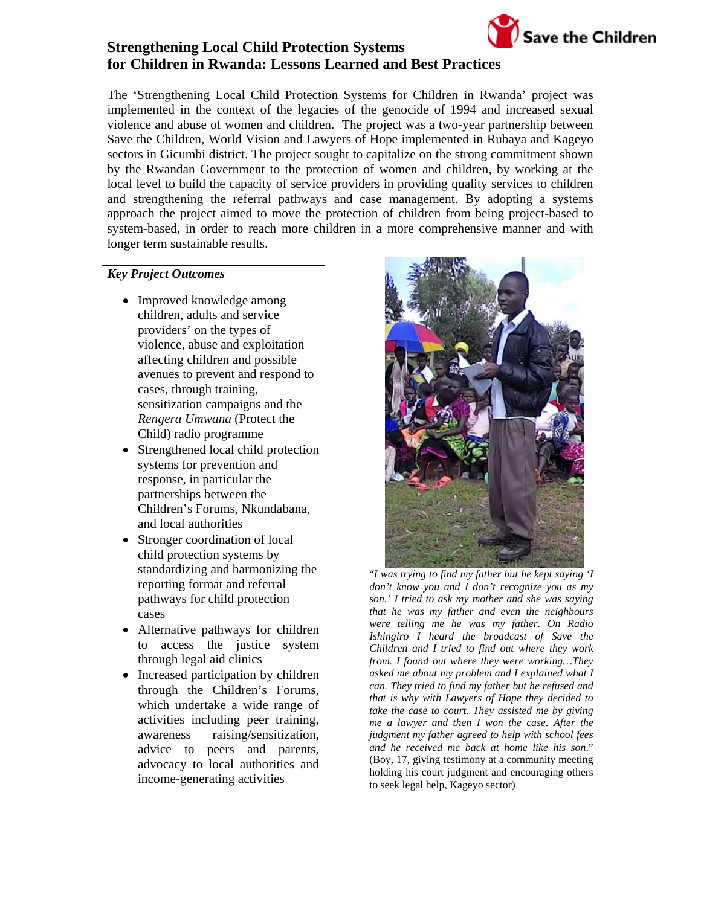

#### *Key Project Outcomes*

- Improved knowledge among children, adults and service providers' on the types of violence, abuse and exploitation affecting children and possible avenues to prevent and respond to cases, through training, sensitization campaigns and the *Rengera Umwana* (Protect the Child) radio programme
- Strengthened local child protection systems for prevention and response, in particular the partnerships between the Children's Forums, Nkundabana, and local authorities
- Stronger coordination of local child protection systems by standardizing and harmonizing the reporting format and referral pathways for child protection cases
- Alternative pathways for children to access the justice system through legal aid clinics
- Increased participation by children through the Children's Forums, which undertake a wide range of activities including peer training, awareness raising/sensitization, advice to peers and parents, advocacy to local authorities and income-generating activities



Save the Children

"*I was trying to find my father but he kept saying 'I don't know you and I don't recognize you as my son.' I tried to ask my mother and she was saying that he was my father and even the neighbours were telling me he was my father. On Radio Ishingiro I heard the broadcast of Save the Children and I tried to find out where they work from. I found out where they were working…They asked me about my problem and I explained what I can. They tried to find my father but he refused and that is why with Lawyers of Hope they decided to take the case to court. They assisted me by giving me a lawyer and then I won the case. After the judgment my father agreed to help with school fees and he received me back at home like his son*." (Boy, 17, giving testimony at a community meeting holding his court judgment and encouraging others to seek legal help, Kageyo sector)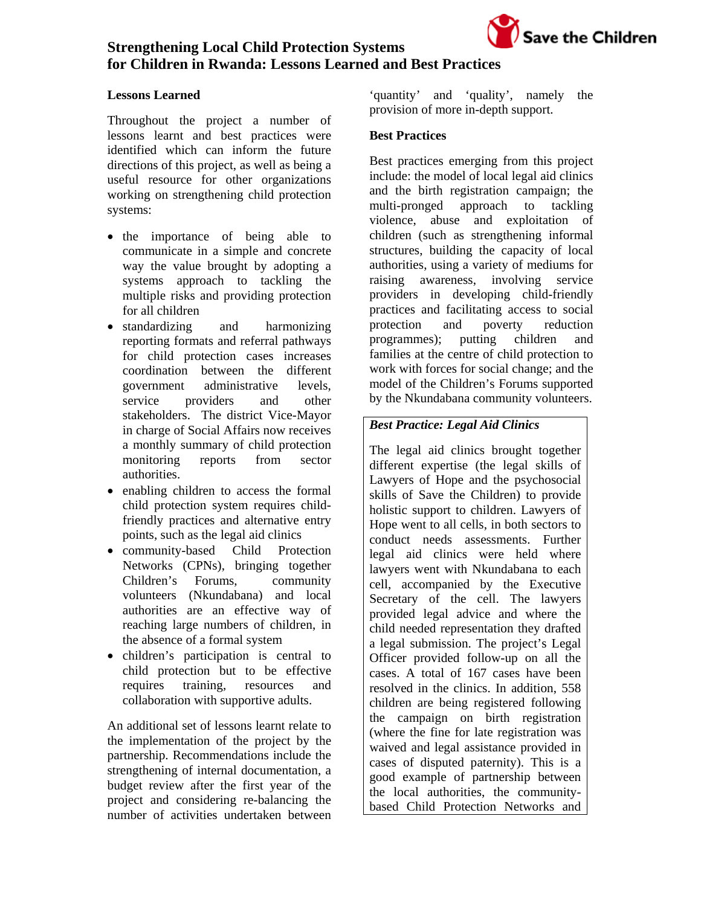

#### **Lessons Learned**

Throughout the project a number of lessons learnt and best practices were identified which can inform the future directions of this project, as well as being a useful resource for other organizations working on strengthening child protection systems:

- the importance of being able to communicate in a simple and concrete way the value brought by adopting a systems approach to tackling the multiple risks and providing protection for all children
- standardizing and harmonizing reporting formats and referral pathways for child protection cases increases coordination between the different government administrative levels, service providers and other stakeholders. The district Vice-Mayor in charge of Social Affairs now receives a monthly summary of child protection monitoring reports from sector authorities.
- enabling children to access the formal child protection system requires childfriendly practices and alternative entry points, such as the legal aid clinics
- community-based Child Protection Networks (CPNs), bringing together Children's Forums, community volunteers (Nkundabana) and local authorities are an effective way of reaching large numbers of children, in the absence of a formal system
- children's participation is central to child protection but to be effective requires training, resources and collaboration with supportive adults.

An additional set of lessons learnt relate to the implementation of the project by the partnership. Recommendations include the strengthening of internal documentation, a budget review after the first year of the project and considering re-balancing the number of activities undertaken between

'quantity' and 'quality', namely the provision of more in-depth support.

#### **Best Practices**

Best practices emerging from this project include: the model of local legal aid clinics and the birth registration campaign; the multi-pronged approach to tackling violence, abuse and exploitation of children (such as strengthening informal structures, building the capacity of local authorities, using a variety of mediums for raising awareness, involving service providers in developing child-friendly practices and facilitating access to social protection and poverty reduction programmes); putting children and families at the centre of child protection to work with forces for social change; and the model of the Children's Forums supported by the Nkundabana community volunteers.

### *Best Practice: Legal Aid Clinics*

The legal aid clinics brought together different expertise (the legal skills of Lawyers of Hope and the psychosocial skills of Save the Children) to provide holistic support to children. Lawyers of Hope went to all cells, in both sectors to conduct needs assessments. Further legal aid clinics were held where lawyers went with Nkundabana to each cell, accompanied by the Executive Secretary of the cell. The lawyers provided legal advice and where the child needed representation they drafted a legal submission. The project's Legal Officer provided follow-up on all the cases. A total of 167 cases have been resolved in the clinics. In addition, 558 children are being registered following the campaign on birth registration (where the fine for late registration was waived and legal assistance provided in cases of disputed paternity). This is a good example of partnership between the local authorities, the communitybased Child Protection Networks and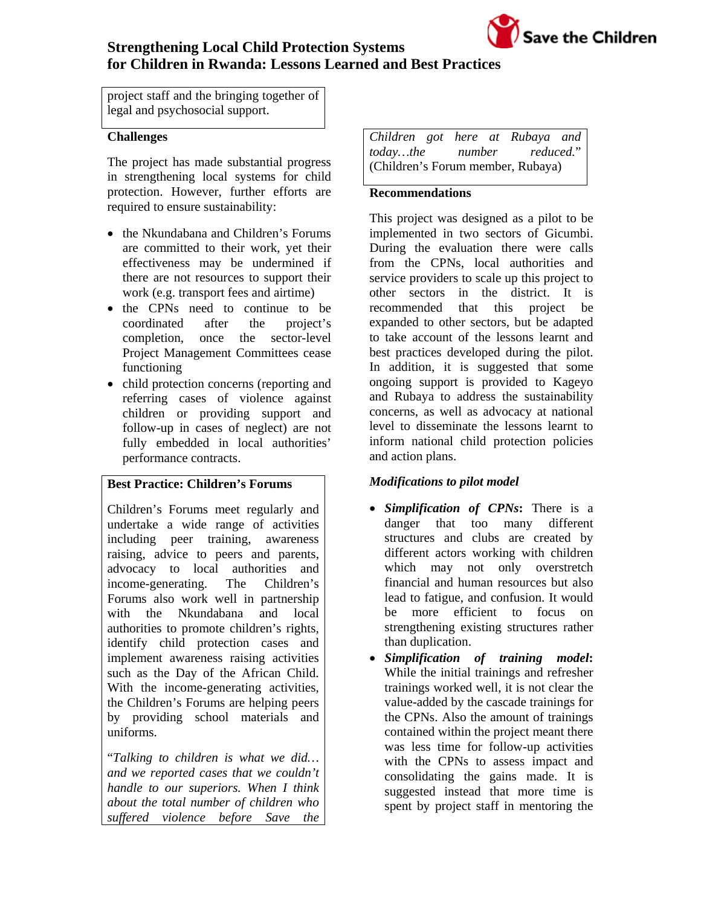

project staff and the bringing together of legal and psychosocial support.

#### **Challenges**

The project has made substantial progress in strengthening local systems for child protection. However, further efforts are required to ensure sustainability:

- the Nkundabana and Children's Forums are committed to their work, yet their effectiveness may be undermined if there are not resources to support their work (e.g. transport fees and airtime)
- the CPNs need to continue to be coordinated after the project's completion, once the sector-level Project Management Committees cease functioning
- child protection concerns (reporting and referring cases of violence against children or providing support and follow-up in cases of neglect) are not fully embedded in local authorities' performance contracts.

#### **Best Practice: Children's Forums**

Children's Forums meet regularly and undertake a wide range of activities including peer training, awareness raising, advice to peers and parents, advocacy to local authorities and income-generating. The Children's Forums also work well in partnership with the Nkundabana and local authorities to promote children's rights, identify child protection cases and implement awareness raising activities such as the Day of the African Child. With the income-generating activities, the Children's Forums are helping peers by providing school materials and uniforms.

"*Talking to children is what we did… and we reported cases that we couldn't handle to our superiors. When I think about the total number of children who suffered violence before Save the* 

| Children got here at Rubaya and   |  |  |  |  |  |
|-----------------------------------|--|--|--|--|--|
| todaythe number reduced."         |  |  |  |  |  |
| (Children's Forum member, Rubaya) |  |  |  |  |  |

#### **Recommendations**

This project was designed as a pilot to be implemented in two sectors of Gicumbi. During the evaluation there were calls from the CPNs, local authorities and service providers to scale up this project to other sectors in the district. It is recommended that this project be expanded to other sectors, but be adapted to take account of the lessons learnt and best practices developed during the pilot. In addition, it is suggested that some ongoing support is provided to Kageyo and Rubaya to address the sustainability concerns, as well as advocacy at national level to disseminate the lessons learnt to inform national child protection policies and action plans.

#### *Modifications to pilot model*

- *Simplification of CPNs***:** There is a danger that too many different structures and clubs are created by different actors working with children which may not only overstretch financial and human resources but also lead to fatigue, and confusion. It would be more efficient to focus on strengthening existing structures rather than duplication.
- *Simplification of training model***:**  While the initial trainings and refresher trainings worked well, it is not clear the value-added by the cascade trainings for the CPNs. Also the amount of trainings contained within the project meant there was less time for follow-up activities with the CPNs to assess impact and consolidating the gains made. It is suggested instead that more time is spent by project staff in mentoring the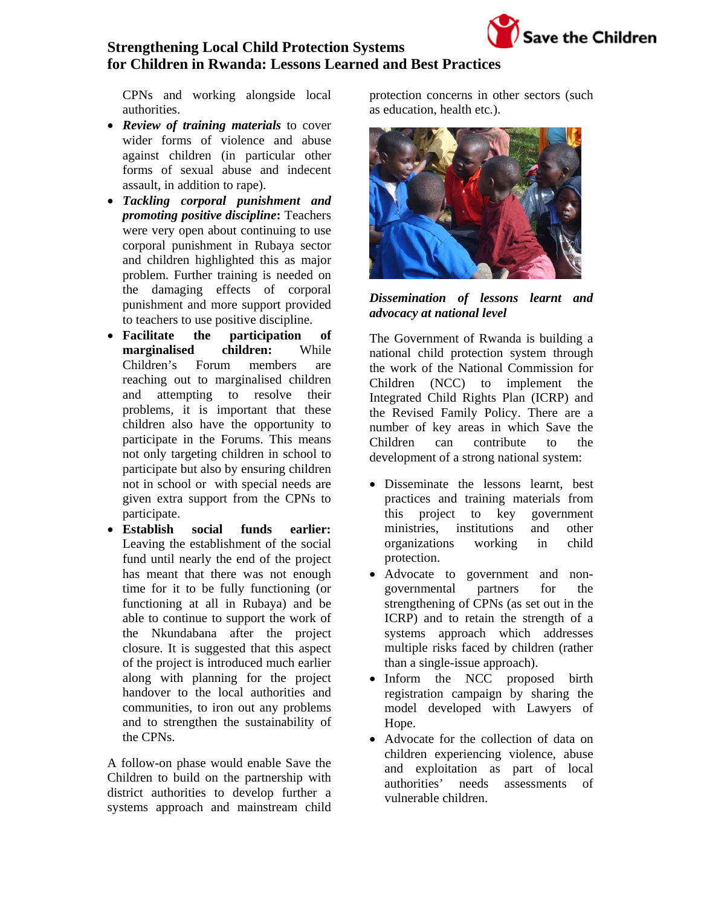

CPNs and working alongside local authorities.

- *Review of training materials* to cover wider forms of violence and abuse against children (in particular other forms of sexual abuse and indecent assault, in addition to rape).
- *Tackling corporal punishment and promoting positive discipline***:** Teachers were very open about continuing to use corporal punishment in Rubaya sector and children highlighted this as major problem. Further training is needed on the damaging effects of corporal punishment and more support provided to teachers to use positive discipline.
- **Facilitate the participation of marginalised children:** While Children's Forum members are reaching out to marginalised children and attempting to resolve their problems, it is important that these children also have the opportunity to participate in the Forums. This means not only targeting children in school to participate but also by ensuring children not in school or with special needs are given extra support from the CPNs to participate.
- **Establish social funds earlier:**  Leaving the establishment of the social fund until nearly the end of the project has meant that there was not enough time for it to be fully functioning (or functioning at all in Rubaya) and be able to continue to support the work of the Nkundabana after the project closure. It is suggested that this aspect of the project is introduced much earlier along with planning for the project handover to the local authorities and communities, to iron out any problems and to strengthen the sustainability of the CPNs.

A follow-on phase would enable Save the Children to build on the partnership with district authorities to develop further a systems approach and mainstream child

protection concerns in other sectors (such as education, health etc.).



*Dissemination of lessons learnt and advocacy at national level* 

The Government of Rwanda is building a national child protection system through the work of the National Commission for Children (NCC) to implement the Integrated Child Rights Plan (ICRP) and the Revised Family Policy. There are a number of key areas in which Save the Children can contribute to the development of a strong national system:

- Disseminate the lessons learnt, best practices and training materials from this project to key government ministries, institutions and other organizations working in child protection.
- Advocate to government and nongovernmental partners for the strengthening of CPNs (as set out in the ICRP) and to retain the strength of a systems approach which addresses multiple risks faced by children (rather than a single-issue approach).
- Inform the NCC proposed birth registration campaign by sharing the model developed with Lawyers of Hope.
- Advocate for the collection of data on children experiencing violence, abuse and exploitation as part of local authorities' needs assessments of vulnerable children.